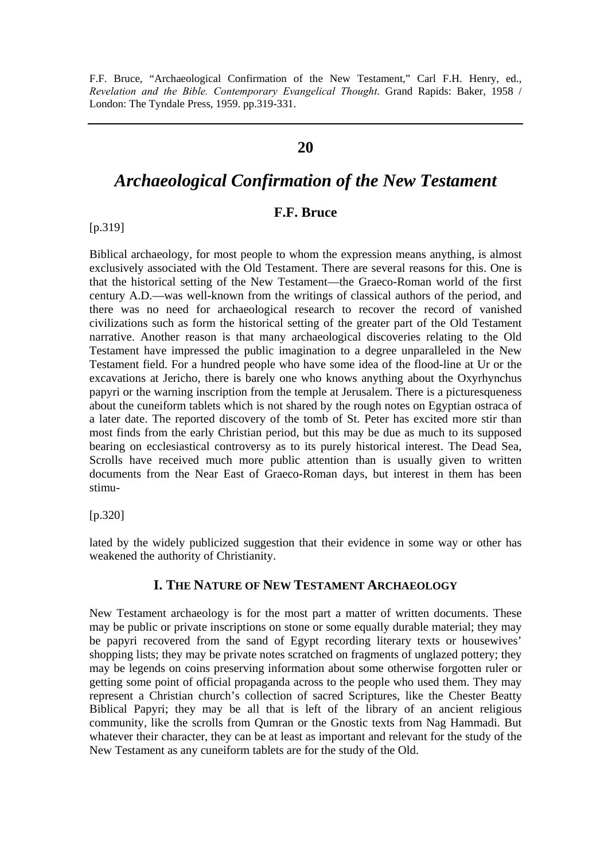## **20**

# *Archaeological Confirmation of the New Testament*

#### **F.F. Bruce**

[p.319]

Biblical archaeology, for most people to whom the expression means anything, is almost exclusively associated with the Old Testament. There are several reasons for this. One is that the historical setting of the New Testament—the Graeco-Roman world of the first century A.D.—was well-known from the writings of classical authors of the period, and there was no need for archaeological research to recover the record of vanished civilizations such as form the historical setting of the greater part of the Old Testament narrative. Another reason is that many archaeological discoveries relating to the Old Testament have impressed the public imagination to a degree unparalleled in the New Testament field. For a hundred people who have some idea of the flood-line at Ur or the excavations at Jericho, there is barely one who knows anything about the Oxyrhynchus papyri or the warning inscription from the temple at Jerusalem. There is a picturesqueness about the cuneiform tablets which is not shared by the rough notes on Egyptian ostraca of a later date. The reported discovery of the tomb of St. Peter has excited more stir than most finds from the early Christian period, but this may be due as much to its supposed bearing on ecclesiastical controversy as to its purely historical interest. The Dead Sea, Scrolls have received much more public attention than is usually given to written documents from the Near East of Graeco-Roman days, but interest in them has been stimu-

[p.320]

lated by the widely publicized suggestion that their evidence in some way or other has weakened the authority of Christianity.

### **I. THE NATURE OF NEW TESTAMENT ARCHAEOLOGY**

New Testament archaeology is for the most part a matter of written documents. These may be public or private inscriptions on stone or some equally durable material; they may be papyri recovered from the sand of Egypt recording literary texts or housewives' shopping lists; they may be private notes scratched on fragments of unglazed pottery; they may be legends on coins preserving information about some otherwise forgotten ruler or getting some point of official propaganda across to the people who used them. They may represent a Christian church's collection of sacred Scriptures, like the Chester Beatty Biblical Papyri; they may be all that is left of the library of an ancient religious community, like the scrolls from Qumran or the Gnostic texts from Nag Hammadi. But whatever their character, they can be at least as important and relevant for the study of the New Testament as any cuneiform tablets are for the study of the Old.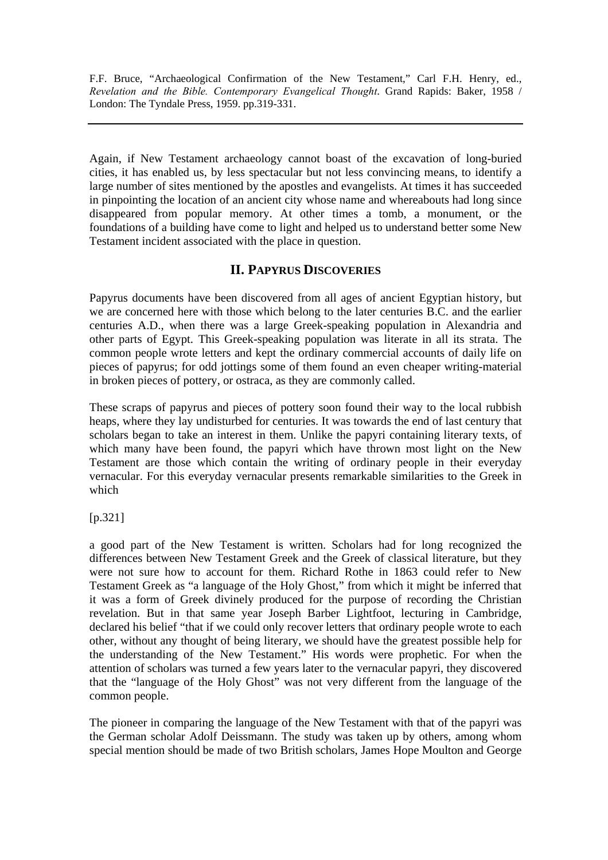Again, if New Testament archaeology cannot boast of the excavation of long-buried cities, it has enabled us, by less spectacular but not less convincing means, to identify a large number of sites mentioned by the apostles and evangelists. At times it has succeeded in pinpointing the location of an ancient city whose name and whereabouts had long since disappeared from popular memory. At other times a tomb, a monument, or the foundations of a building have come to light and helped us to understand better some New Testament incident associated with the place in question.

# **II. PAPYRUS DISCOVERIES**

Papyrus documents have been discovered from all ages of ancient Egyptian history, but we are concerned here with those which belong to the later centuries B.C. and the earlier centuries A.D., when there was a large Greek-speaking population in Alexandria and other parts of Egypt. This Greek-speaking population was literate in all its strata. The common people wrote letters and kept the ordinary commercial accounts of daily life on pieces of papyrus; for odd jottings some of them found an even cheaper writing-material in broken pieces of pottery, or ostraca, as they are commonly called.

These scraps of papyrus and pieces of pottery soon found their way to the local rubbish heaps, where they lay undisturbed for centuries. It was towards the end of last century that scholars began to take an interest in them. Unlike the papyri containing literary texts, of which many have been found, the papyri which have thrown most light on the New Testament are those which contain the writing of ordinary people in their everyday vernacular. For this everyday vernacular presents remarkable similarities to the Greek in which

[p.321]

a good part of the New Testament is written. Scholars had for long recognized the differences between New Testament Greek and the Greek of classical literature, but they were not sure how to account for them. Richard Rothe in 1863 could refer to New Testament Greek as "a language of the Holy Ghost," from which it might be inferred that it was a form of Greek divinely produced for the purpose of recording the Christian revelation. But in that same year Joseph Barber Lightfoot, lecturing in Cambridge, declared his belief "that if we could only recover letters that ordinary people wrote to each other, without any thought of being literary, we should have the greatest possible help for the understanding of the New Testament." His words were prophetic. For when the attention of scholars was turned a few years later to the vernacular papyri, they discovered that the "language of the Holy Ghost" was not very different from the language of the common people.

The pioneer in comparing the language of the New Testament with that of the papyri was the German scholar Adolf Deissmann. The study was taken up by others, among whom special mention should be made of two British scholars, James Hope Moulton and George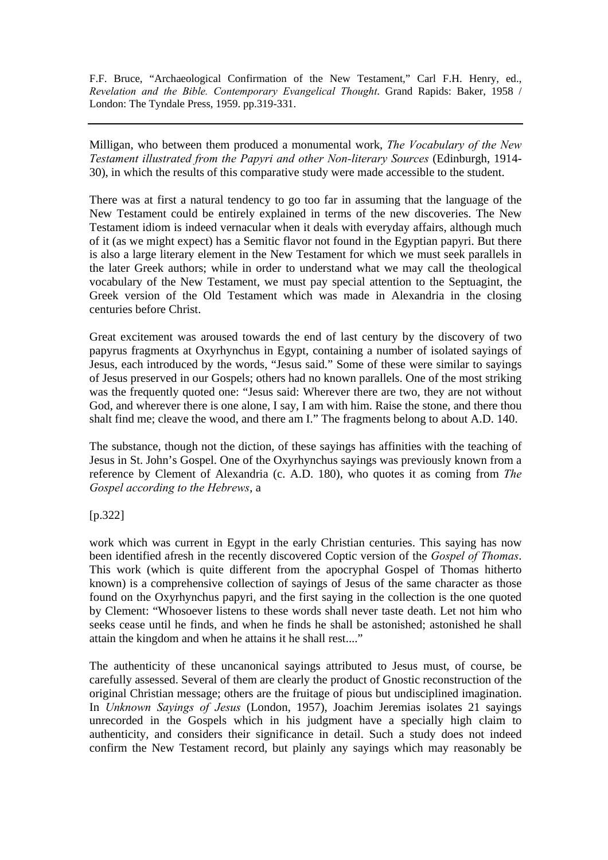Milligan, who between them produced a monumental work, *The Vocabulary of the New Testament illustrated from the Papyri and other Non-literary Sources* (Edinburgh, 1914- 30), in which the results of this comparative study were made accessible to the student.

There was at first a natural tendency to go too far in assuming that the language of the New Testament could be entirely explained in terms of the new discoveries. The New Testament idiom is indeed vernacular when it deals with everyday affairs, although much of it (as we might expect) has a Semitic flavor not found in the Egyptian papyri. But there is also a large literary element in the New Testament for which we must seek parallels in the later Greek authors; while in order to understand what we may call the theological vocabulary of the New Testament, we must pay special attention to the Septuagint, the Greek version of the Old Testament which was made in Alexandria in the closing centuries before Christ.

Great excitement was aroused towards the end of last century by the discovery of two papyrus fragments at Oxyrhynchus in Egypt, containing a number of isolated sayings of Jesus, each introduced by the words, "Jesus said." Some of these were similar to sayings of Jesus preserved in our Gospels; others had no known parallels. One of the most striking was the frequently quoted one: "Jesus said: Wherever there are two, they are not without God, and wherever there is one alone, I say, I am with him. Raise the stone, and there thou shalt find me; cleave the wood, and there am I." The fragments belong to about A.D. 140.

The substance, though not the diction, of these sayings has affinities with the teaching of Jesus in St. John's Gospel. One of the Oxyrhynchus sayings was previously known from a reference by Clement of Alexandria (c. A.D. 180), who quotes it as coming from *The Gospel according to the Hebrews*, a

[p.322]

work which was current in Egypt in the early Christian centuries. This saying has now been identified afresh in the recently discovered Coptic version of the *Gospel of Thomas*. This work (which is quite different from the apocryphal Gospel of Thomas hitherto known) is a comprehensive collection of sayings of Jesus of the same character as those found on the Oxyrhynchus papyri, and the first saying in the collection is the one quoted by Clement: "Whosoever listens to these words shall never taste death. Let not him who seeks cease until he finds, and when he finds he shall be astonished; astonished he shall attain the kingdom and when he attains it he shall rest...."

The authenticity of these uncanonical sayings attributed to Jesus must, of course, be carefully assessed. Several of them are clearly the product of Gnostic reconstruction of the original Christian message; others are the fruitage of pious but undisciplined imagination. In *Unknown Sayings of Jesus* (London, 1957), Joachim Jeremias isolates 21 sayings unrecorded in the Gospels which in his judgment have a specially high claim to authenticity, and considers their significance in detail. Such a study does not indeed confirm the New Testament record, but plainly any sayings which may reasonably be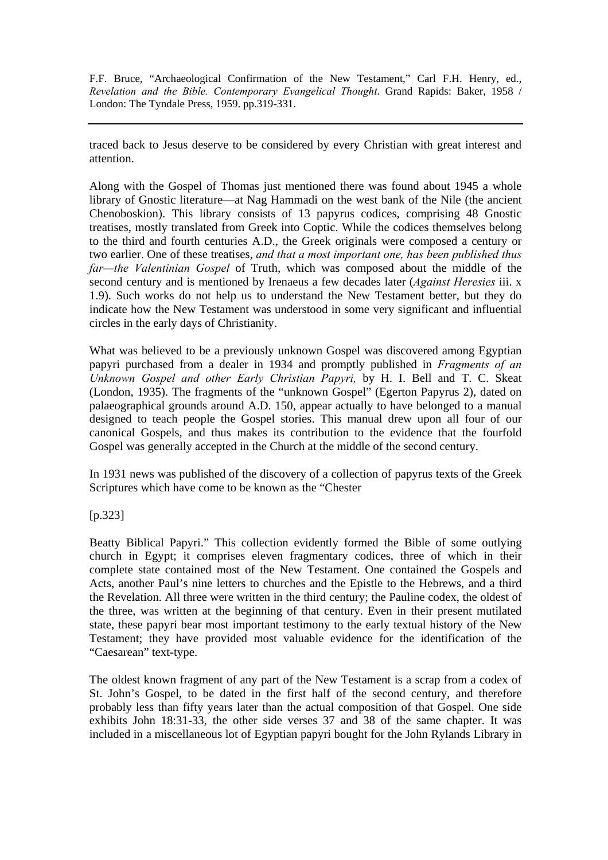traced back to Jesus deserve to be considered by every Christian with great interest and attention.

Along with the Gospel of Thomas just mentioned there was found about 1945 a whole library of Gnostic literature—at Nag Hammadi on the west bank of the Nile (the ancient Chenoboskion). This library consists of 13 papyrus codices, comprising 48 Gnostic treatises, mostly translated from Greek into Coptic. While the codices themselves belong to the third and fourth centuries A.D., the Greek originals were composed a century or two earlier. One of these treatises, *and that a most important one, has been published thus far—the Valentinian Gospel* of Truth, which was composed about the middle of the second century and is mentioned by Irenaeus a few decades later (*Against Heresies* iii. x 1.9). Such works do not help us to understand the New Testament better, but they do indicate how the New Testament was understood in some very significant and influential circles in the early days of Christianity.

What was believed to be a previously unknown Gospel was discovered among Egyptian papyri purchased from a dealer in 1934 and promptly published in *Fragments of an Unknown Gospel and other Early Christian Papyri,* by H. I. Bell and T. C. Skeat (London, 1935). The fragments of the "unknown Gospel" (Egerton Papyrus 2), dated on palaeographical grounds around A.D. 150, appear actually to have belonged to a manual designed to teach people the Gospel stories. This manual drew upon all four of our canonical Gospels, and thus makes its contribution to the evidence that the fourfold Gospel was generally accepted in the Church at the middle of the second century.

In 1931 news was published of the discovery of a collection of papyrus texts of the Greek Scriptures which have come to be known as the "Chester

[p.323]

Beatty Biblical Papyri." This collection evidently formed the Bible of some outlying church in Egypt; it comprises eleven fragmentary codices, three of which in their complete state contained most of the New Testament. One contained the Gospels and Acts, another Paul's nine letters to churches and the Epistle to the Hebrews, and a third the Revelation. All three were written in the third century; the Pauline codex, the oldest of the three, was written at the beginning of that century. Even in their present mutilated state, these papyri bear most important testimony to the early textual history of the New Testament; they have provided most valuable evidence for the identification of the "Caesarean" text-type.

The oldest known fragment of any part of the New Testament is a scrap from a codex of St. John's Gospel, to be dated in the first half of the second century, and therefore probably less than fifty years later than the actual composition of that Gospel. One side exhibits John 18:31-33, the other side verses 37 and 38 of the same chapter. It was included in a miscellaneous lot of Egyptian papyri bought for the John Rylands Library in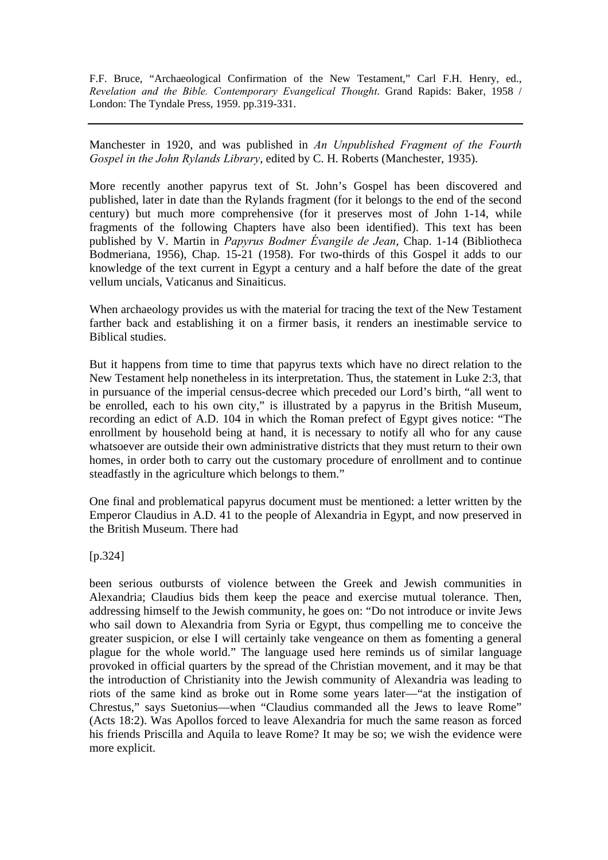Manchester in 1920, and was published in *An Unpublished Fragment of the Fourth Gospel in the John Rylands Library*, edited by C. H. Roberts (Manchester, 1935).

More recently another papyrus text of St. John's Gospel has been discovered and published, later in date than the Rylands fragment (for it belongs to the end of the second century) but much more comprehensive (for it preserves most of John 1-14, while fragments of the following Chapters have also been identified). This text has been published by V. Martin in *Papyrus Bodmer Évangile de Jean*, Chap. 1-14 (Bibliotheca Bodmeriana, 1956), Chap. 15-21 (1958). For two-thirds of this Gospel it adds to our knowledge of the text current in Egypt a century and a half before the date of the great vellum uncials, Vaticanus and Sinaiticus.

When archaeology provides us with the material for tracing the text of the New Testament farther back and establishing it on a firmer basis, it renders an inestimable service to Biblical studies.

But it happens from time to time that papyrus texts which have no direct relation to the New Testament help nonetheless in its interpretation. Thus, the statement in Luke 2:3, that in pursuance of the imperial census-decree which preceded our Lord's birth, "all went to be enrolled, each to his own city," is illustrated by a papyrus in the British Museum, recording an edict of A.D. 104 in which the Roman prefect of Egypt gives notice: "The enrollment by household being at hand, it is necessary to notify all who for any cause whatsoever are outside their own administrative districts that they must return to their own homes, in order both to carry out the customary procedure of enrollment and to continue steadfastly in the agriculture which belongs to them."

One final and problematical papyrus document must be mentioned: a letter written by the Emperor Claudius in A.D. 41 to the people of Alexandria in Egypt, and now preserved in the British Museum. There had

 $[n.324]$ 

been serious outbursts of violence between the Greek and Jewish communities in Alexandria; Claudius bids them keep the peace and exercise mutual tolerance. Then, addressing himself to the Jewish community, he goes on: "Do not introduce or invite Jews who sail down to Alexandria from Syria or Egypt, thus compelling me to conceive the greater suspicion, or else I will certainly take vengeance on them as fomenting a general plague for the whole world." The language used here reminds us of similar language provoked in official quarters by the spread of the Christian movement, and it may be that the introduction of Christianity into the Jewish community of Alexandria was leading to riots of the same kind as broke out in Rome some years later—"at the instigation of Chrestus," says Suetonius—when "Claudius commanded all the Jews to leave Rome" (Acts 18:2). Was Apollos forced to leave Alexandria for much the same reason as forced his friends Priscilla and Aquila to leave Rome? It may be so; we wish the evidence were more explicit.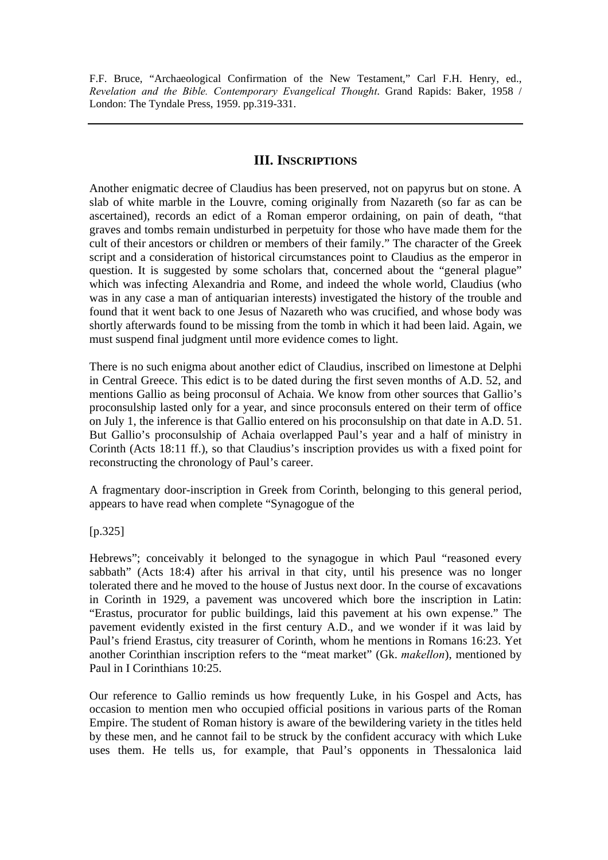### **III. INSCRIPTIONS**

Another enigmatic decree of Claudius has been preserved, not on papyrus but on stone. A slab of white marble in the Louvre, coming originally from Nazareth (so far as can be ascertained), records an edict of a Roman emperor ordaining, on pain of death, "that graves and tombs remain undisturbed in perpetuity for those who have made them for the cult of their ancestors or children or members of their family." The character of the Greek script and a consideration of historical circumstances point to Claudius as the emperor in question. It is suggested by some scholars that, concerned about the "general plague" which was infecting Alexandria and Rome, and indeed the whole world, Claudius (who was in any case a man of antiquarian interests) investigated the history of the trouble and found that it went back to one Jesus of Nazareth who was crucified, and whose body was shortly afterwards found to be missing from the tomb in which it had been laid. Again, we must suspend final judgment until more evidence comes to light.

There is no such enigma about another edict of Claudius, inscribed on limestone at Delphi in Central Greece. This edict is to be dated during the first seven months of A.D. 52, and mentions Gallio as being proconsul of Achaia. We know from other sources that Gallio's proconsulship lasted only for a year, and since proconsuls entered on their term of office on July 1, the inference is that Gallio entered on his proconsulship on that date in A.D. 51. But Gallio's proconsulship of Achaia overlapped Paul's year and a half of ministry in Corinth (Acts 18:11 ff.), so that Claudius's inscription provides us with a fixed point for reconstructing the chronology of Paul's career.

A fragmentary door-inscription in Greek from Corinth, belonging to this general period, appears to have read when complete "Synagogue of the

[p.325]

Hebrews"; conceivably it belonged to the synagogue in which Paul "reasoned every sabbath" (Acts 18:4) after his arrival in that city, until his presence was no longer tolerated there and he moved to the house of Justus next door. In the course of excavations in Corinth in 1929, a pavement was uncovered which bore the inscription in Latin: "Erastus, procurator for public buildings, laid this pavement at his own expense." The pavement evidently existed in the first century A.D., and we wonder if it was laid by Paul's friend Erastus, city treasurer of Corinth, whom he mentions in Romans 16:23. Yet another Corinthian inscription refers to the "meat market" (Gk. *makellon*), mentioned by Paul in I Corinthians 10:25.

Our reference to Gallio reminds us how frequently Luke, in his Gospel and Acts, has occasion to mention men who occupied official positions in various parts of the Roman Empire. The student of Roman history is aware of the bewildering variety in the titles held by these men, and he cannot fail to be struck by the confident accuracy with which Luke uses them. He tells us, for example, that Paul's opponents in Thessalonica laid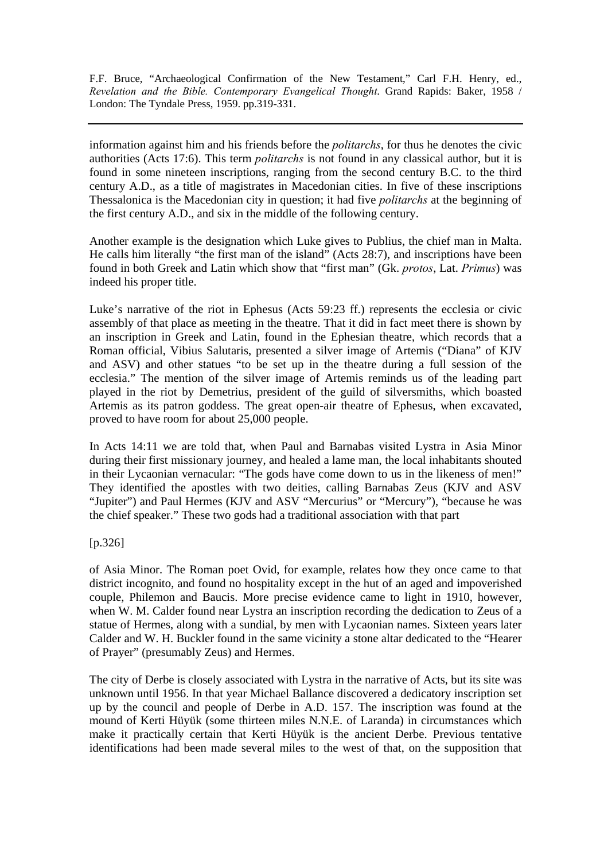information against him and his friends before the *politarchs*, for thus he denotes the civic authorities (Acts 17:6). This term *politarchs* is not found in any classical author, but it is found in some nineteen inscriptions, ranging from the second century B.C. to the third century A.D., as a title of magistrates in Macedonian cities. In five of these inscriptions Thessalonica is the Macedonian city in question; it had five *politarchs* at the beginning of the first century A.D., and six in the middle of the following century.

Another example is the designation which Luke gives to Publius, the chief man in Malta. He calls him literally "the first man of the island" (Acts 28:7), and inscriptions have been found in both Greek and Latin which show that "first man" (Gk. *protos*, Lat. *Primus*) was indeed his proper title.

Luke's narrative of the riot in Ephesus (Acts 59:23 ff.) represents the ecclesia or civic assembly of that place as meeting in the theatre. That it did in fact meet there is shown by an inscription in Greek and Latin, found in the Ephesian theatre, which records that a Roman official, Vibius Salutaris, presented a silver image of Artemis ("Diana" of KJV and ASV) and other statues "to be set up in the theatre during a full session of the ecclesia." The mention of the silver image of Artemis reminds us of the leading part played in the riot by Demetrius, president of the guild of silversmiths, which boasted Artemis as its patron goddess. The great open-air theatre of Ephesus, when excavated, proved to have room for about 25,000 people.

In Acts 14:11 we are told that, when Paul and Barnabas visited Lystra in Asia Minor during their first missionary journey, and healed a lame man, the local inhabitants shouted in their Lycaonian vernacular: "The gods have come down to us in the likeness of men!" They identified the apostles with two deities, calling Barnabas Zeus (KJV and ASV "Jupiter") and Paul Hermes (KJV and ASV "Mercurius" or "Mercury"), "because he was the chief speaker." These two gods had a traditional association with that part

[p.326]

of Asia Minor. The Roman poet Ovid, for example, relates how they once came to that district incognito, and found no hospitality except in the hut of an aged and impoverished couple, Philemon and Baucis. More precise evidence came to light in 1910, however, when W. M. Calder found near Lystra an inscription recording the dedication to Zeus of a statue of Hermes, along with a sundial, by men with Lycaonian names. Sixteen years later Calder and W. H. Buckler found in the same vicinity a stone altar dedicated to the "Hearer of Prayer" (presumably Zeus) and Hermes.

The city of Derbe is closely associated with Lystra in the narrative of Acts, but its site was unknown until 1956. In that year Michael Ballance discovered a dedicatory inscription set up by the council and people of Derbe in A.D. 157. The inscription was found at the mound of Kerti Hüyük (some thirteen miles N.N.E. of Laranda) in circumstances which make it practically certain that Kerti Hüyük is the ancient Derbe. Previous tentative identifications had been made several miles to the west of that, on the supposition that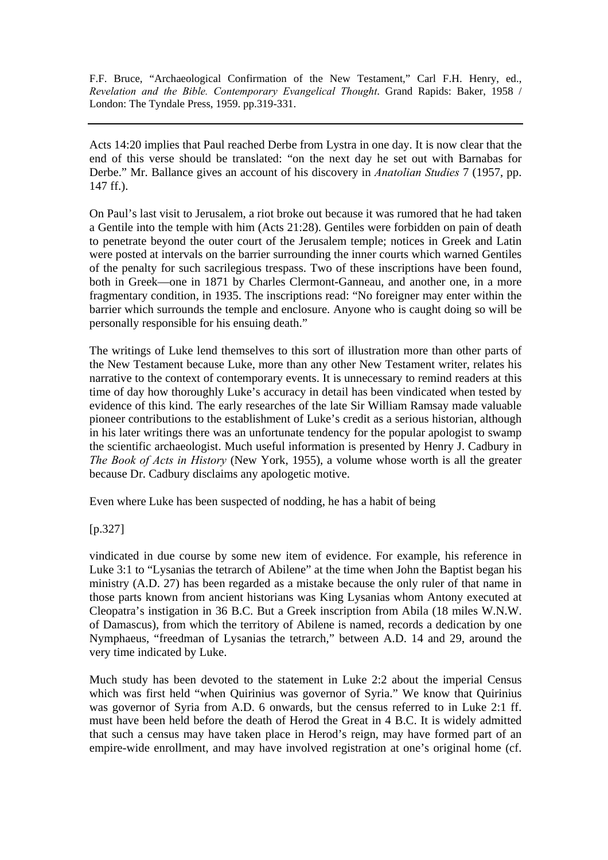Acts 14:20 implies that Paul reached Derbe from Lystra in one day. It is now clear that the end of this verse should be translated: "on the next day he set out with Barnabas for Derbe." Mr. Ballance gives an account of his discovery in *Anatolian Studies* 7 (1957, pp. 147 ff.).

On Paul's last visit to Jerusalem, a riot broke out because it was rumored that he had taken a Gentile into the temple with him (Acts 21:28). Gentiles were forbidden on pain of death to penetrate beyond the outer court of the Jerusalem temple; notices in Greek and Latin were posted at intervals on the barrier surrounding the inner courts which warned Gentiles of the penalty for such sacrilegious trespass. Two of these inscriptions have been found, both in Greek—one in 1871 by Charles Clermont-Ganneau, and another one, in a more fragmentary condition, in 1935. The inscriptions read: "No foreigner may enter within the barrier which surrounds the temple and enclosure. Anyone who is caught doing so will be personally responsible for his ensuing death."

The writings of Luke lend themselves to this sort of illustration more than other parts of the New Testament because Luke, more than any other New Testament writer, relates his narrative to the context of contemporary events. It is unnecessary to remind readers at this time of day how thoroughly Luke's accuracy in detail has been vindicated when tested by evidence of this kind. The early researches of the late Sir William Ramsay made valuable pioneer contributions to the establishment of Luke's credit as a serious historian, although in his later writings there was an unfortunate tendency for the popular apologist to swamp the scientific archaeologist. Much useful information is presented by Henry J. Cadbury in *The Book of Acts in History* (New York, 1955), a volume whose worth is all the greater because Dr. Cadbury disclaims any apologetic motive.

Even where Luke has been suspected of nodding, he has a habit of being

#### [p.327]

vindicated in due course by some new item of evidence. For example, his reference in Luke 3:1 to "Lysanias the tetrarch of Abilene" at the time when John the Baptist began his ministry (A.D. 27) has been regarded as a mistake because the only ruler of that name in those parts known from ancient historians was King Lysanias whom Antony executed at Cleopatra's instigation in 36 B.C. But a Greek inscription from Abila (18 miles W.N.W. of Damascus), from which the territory of Abilene is named, records a dedication by one Nymphaeus, "freedman of Lysanias the tetrarch," between A.D. 14 and 29, around the very time indicated by Luke.

Much study has been devoted to the statement in Luke 2:2 about the imperial Census which was first held "when Quirinius was governor of Syria." We know that Quirinius was governor of Syria from A.D. 6 onwards, but the census referred to in Luke 2:1 ff. must have been held before the death of Herod the Great in 4 B.C. It is widely admitted that such a census may have taken place in Herod's reign, may have formed part of an empire-wide enrollment, and may have involved registration at one's original home (cf.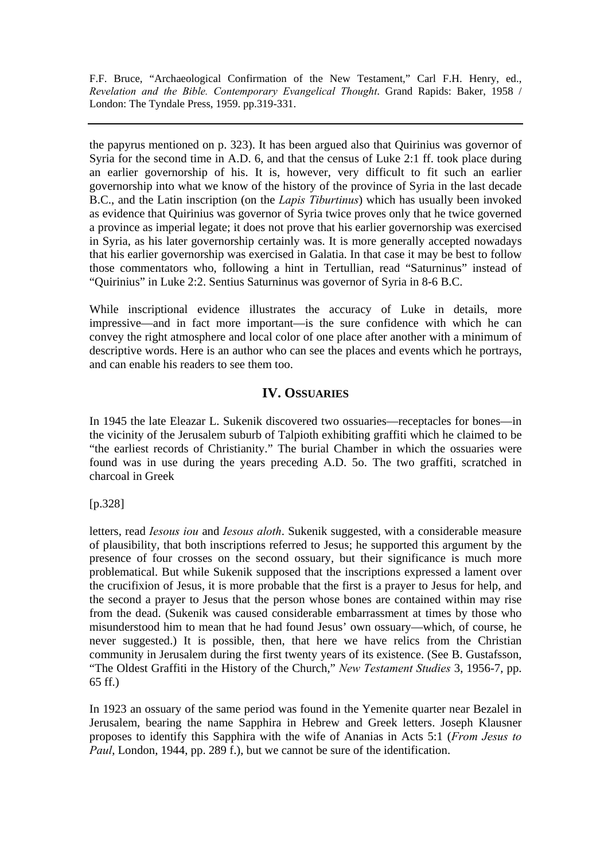the papyrus mentioned on p. 323). It has been argued also that Quirinius was governor of Syria for the second time in A.D. 6, and that the census of Luke 2:1 ff. took place during an earlier governorship of his. It is, however, very difficult to fit such an earlier governorship into what we know of the history of the province of Syria in the last decade B.C., and the Latin inscription (on the *Lapis Tiburtinus*) which has usually been invoked as evidence that Quirinius was governor of Syria twice proves only that he twice governed a province as imperial legate; it does not prove that his earlier governorship was exercised in Syria, as his later governorship certainly was. It is more generally accepted nowadays that his earlier governorship was exercised in Galatia. In that case it may be best to follow those commentators who, following a hint in Tertullian, read "Saturninus" instead of "Quirinius" in Luke 2:2. Sentius Saturninus was governor of Syria in 8-6 B.C.

While inscriptional evidence illustrates the accuracy of Luke in details, more impressive—and in fact more important—is the sure confidence with which he can convey the right atmosphere and local color of one place after another with a minimum of descriptive words. Here is an author who can see the places and events which he portrays, and can enable his readers to see them too.

# **IV. OSSUARIES**

In 1945 the late Eleazar L. Sukenik discovered two ossuaries—receptacles for bones—in the vicinity of the Jerusalem suburb of Talpioth exhibiting graffiti which he claimed to be "the earliest records of Christianity." The burial Chamber in which the ossuaries were found was in use during the years preceding A.D. 5o. The two graffiti, scratched in charcoal in Greek

[p.328]

letters, read *Iesous iou* and *Iesous aloth*. Sukenik suggested, with a considerable measure of plausibility, that both inscriptions referred to Jesus; he supported this argument by the presence of four crosses on the second ossuary, but their significance is much more problematical. But while Sukenik supposed that the inscriptions expressed a lament over the crucifixion of Jesus, it is more probable that the first is a prayer to Jesus for help, and the second a prayer to Jesus that the person whose bones are contained within may rise from the dead. (Sukenik was caused considerable embarrassment at times by those who misunderstood him to mean that he had found Jesus' own ossuary—which, of course, he never suggested.) It is possible, then, that here we have relics from the Christian community in Jerusalem during the first twenty years of its existence. (See B. Gustafsson, "The Oldest Graffiti in the History of the Church," *New Testament Studies* 3, 1956-7, pp. 65 ff.)

In 1923 an ossuary of the same period was found in the Yemenite quarter near Bezalel in Jerusalem, bearing the name Sapphira in Hebrew and Greek letters. Joseph Klausner proposes to identify this Sapphira with the wife of Ananias in Acts 5:1 (*From Jesus to Paul*, London, 1944, pp. 289 f.), but we cannot be sure of the identification.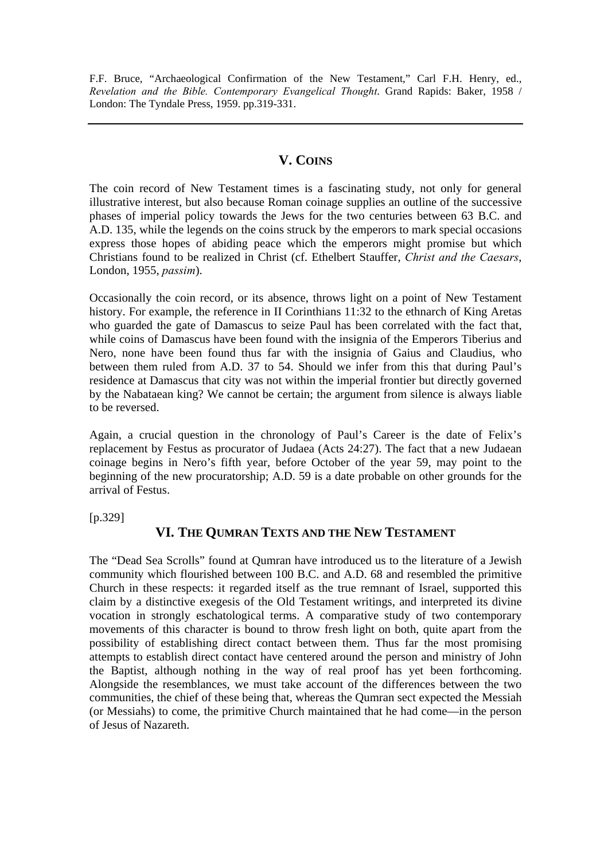## **V. COINS**

The coin record of New Testament times is a fascinating study, not only for general illustrative interest, but also because Roman coinage supplies an outline of the successive phases of imperial policy towards the Jews for the two centuries between 63 B.C. and A.D. 135, while the legends on the coins struck by the emperors to mark special occasions express those hopes of abiding peace which the emperors might promise but which Christians found to be realized in Christ (cf. Ethelbert Stauffer, *Christ and the Caesars*, London, 1955, *passim*).

Occasionally the coin record, or its absence, throws light on a point of New Testament history. For example, the reference in II Corinthians 11:32 to the ethnarch of King Aretas who guarded the gate of Damascus to seize Paul has been correlated with the fact that, while coins of Damascus have been found with the insignia of the Emperors Tiberius and Nero, none have been found thus far with the insignia of Gaius and Claudius, who between them ruled from A.D. 37 to 54. Should we infer from this that during Paul's residence at Damascus that city was not within the imperial frontier but directly governed by the Nabataean king? We cannot be certain; the argument from silence is always liable to be reversed.

Again, a crucial question in the chronology of Paul's Career is the date of Felix's replacement by Festus as procurator of Judaea (Acts 24:27). The fact that a new Judaean coinage begins in Nero's fifth year, before October of the year 59, may point to the beginning of the new procuratorship; A.D. 59 is a date probable on other grounds for the arrival of Festus.

[p.329]

# **VI. THE QUMRAN TEXTS AND THE NEW TESTAMENT**

The "Dead Sea Scrolls" found at Qumran have introduced us to the literature of a Jewish community which flourished between 100 B.C. and A.D. 68 and resembled the primitive Church in these respects: it regarded itself as the true remnant of Israel, supported this claim by a distinctive exegesis of the Old Testament writings, and interpreted its divine vocation in strongly eschatological terms. A comparative study of two contemporary movements of this character is bound to throw fresh light on both, quite apart from the possibility of establishing direct contact between them. Thus far the most promising attempts to establish direct contact have centered around the person and ministry of John the Baptist, although nothing in the way of real proof has yet been forthcoming. Alongside the resemblances, we must take account of the differences between the two communities, the chief of these being that, whereas the Qumran sect expected the Messiah (or Messiahs) to come, the primitive Church maintained that he had come—in the person of Jesus of Nazareth.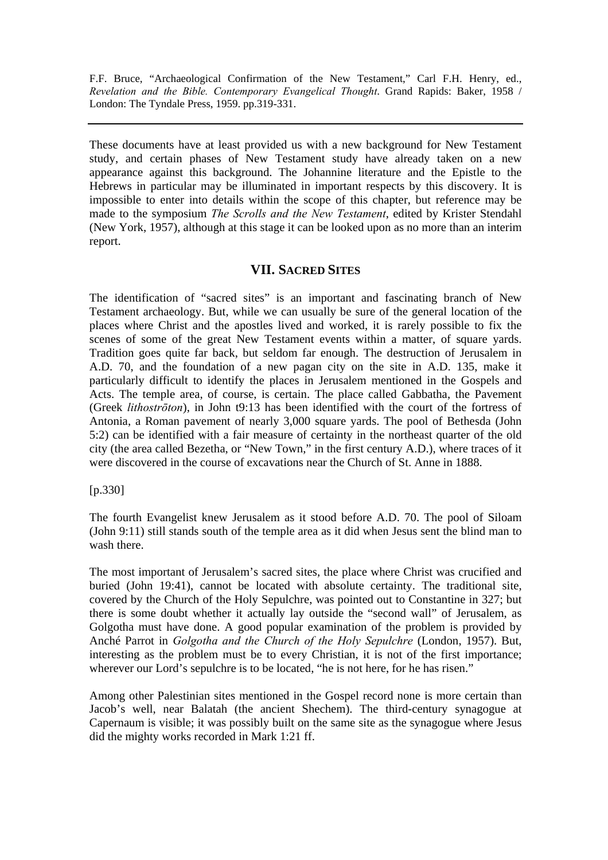These documents have at least provided us with a new background for New Testament study, and certain phases of New Testament study have already taken on a new appearance against this background. The Johannine literature and the Epistle to the Hebrews in particular may be illuminated in important respects by this discovery. It is impossible to enter into details within the scope of this chapter, but reference may be made to the symposium *The Scrolls and the New Testament*, edited by Krister Stendahl (New York, 1957), although at this stage it can be looked upon as no more than an interim report.

#### **VII. SACRED SITES**

The identification of "sacred sites" is an important and fascinating branch of New Testament archaeology. But, while we can usually be sure of the general location of the places where Christ and the apostles lived and worked, it is rarely possible to fix the scenes of some of the great New Testament events within a matter, of square yards. Tradition goes quite far back, but seldom far enough. The destruction of Jerusalem in A.D. 70, and the foundation of a new pagan city on the site in A.D. 135, make it particularly difficult to identify the places in Jerusalem mentioned in the Gospels and Acts. The temple area, of course, is certain. The place called Gabbatha, the Pavement (Greek *lithostrōton*), in John t9:13 has been identified with the court of the fortress of Antonia, a Roman pavement of nearly 3,000 square yards. The pool of Bethesda (John 5:2) can be identified with a fair measure of certainty in the northeast quarter of the old city (the area called Bezetha, or "New Town," in the first century A.D.), where traces of it were discovered in the course of excavations near the Church of St. Anne in 1888.

#### [p.330]

The fourth Evangelist knew Jerusalem as it stood before A.D. 70. The pool of Siloam (John 9:11) still stands south of the temple area as it did when Jesus sent the blind man to wash there.

The most important of Jerusalem's sacred sites, the place where Christ was crucified and buried (John 19:41), cannot be located with absolute certainty. The traditional site, covered by the Church of the Holy Sepulchre, was pointed out to Constantine in 327; but there is some doubt whether it actually lay outside the "second wall" of Jerusalem, as Golgotha must have done. A good popular examination of the problem is provided by Anché Parrot in *Golgotha and the Church of the Holy Sepulchre* (London, 1957). But, interesting as the problem must be to every Christian, it is not of the first importance; wherever our Lord's sepulchre is to be located, "he is not here, for he has risen."

Among other Palestinian sites mentioned in the Gospel record none is more certain than Jacob's well, near Balatah (the ancient Shechem). The third-century synagogue at Capernaum is visible; it was possibly built on the same site as the synagogue where Jesus did the mighty works recorded in Mark 1:21 ff.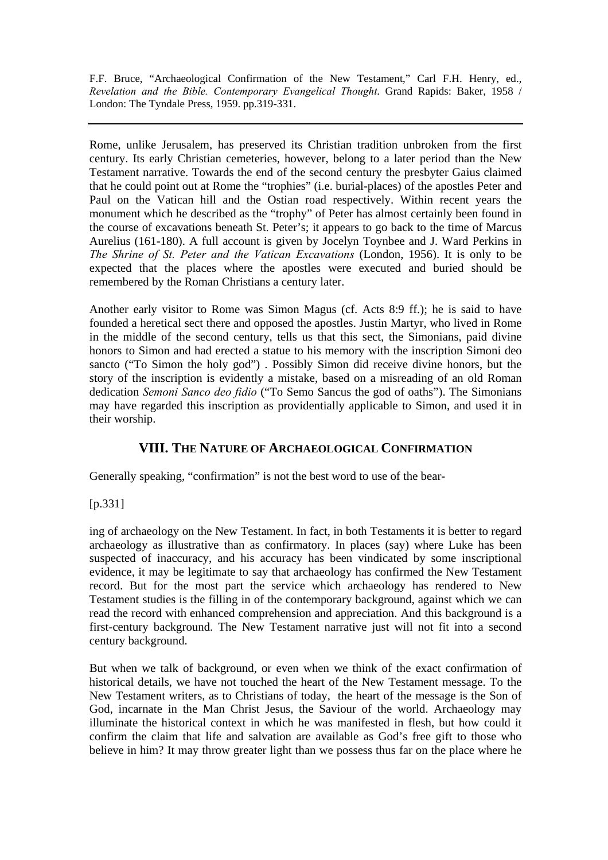Rome, unlike Jerusalem, has preserved its Christian tradition unbroken from the first century. Its early Christian cemeteries, however, belong to a later period than the New Testament narrative. Towards the end of the second century the presbyter Gaius claimed that he could point out at Rome the "trophies" (i.e. burial-places) of the apostles Peter and Paul on the Vatican hill and the Ostian road respectively. Within recent years the monument which he described as the "trophy" of Peter has almost certainly been found in the course of excavations beneath St. Peter's; it appears to go back to the time of Marcus Aurelius (161-180). A full account is given by Jocelyn Toynbee and J. Ward Perkins in *The Shrine of St. Peter and the Vatican Excavations* (London, 1956). It is only to be expected that the places where the apostles were executed and buried should be remembered by the Roman Christians a century later.

Another early visitor to Rome was Simon Magus (cf. Acts 8:9 ff.); he is said to have founded a heretical sect there and opposed the apostles. Justin Martyr, who lived in Rome in the middle of the second century, tells us that this sect, the Simonians, paid divine honors to Simon and had erected a statue to his memory with the inscription Simoni deo sancto ("To Simon the holy god") . Possibly Simon did receive divine honors, but the story of the inscription is evidently a mistake, based on a misreading of an old Roman dedication *Semoni Sanco deo fidio* ("To Semo Sancus the god of oaths"). The Simonians may have regarded this inscription as providentially applicable to Simon, and used it in their worship.

#### **VIII. THE NATURE OF ARCHAEOLOGICAL CONFIRMATION**

Generally speaking, "confirmation" is not the best word to use of the bear-

[p.331]

ing of archaeology on the New Testament. In fact, in both Testaments it is better to regard archaeology as illustrative than as confirmatory. In places (say) where Luke has been suspected of inaccuracy, and his accuracy has been vindicated by some inscriptional evidence, it may be legitimate to say that archaeology has confirmed the New Testament record. But for the most part the service which archaeology has rendered to New Testament studies is the filling in of the contemporary background, against which we can read the record with enhanced comprehension and appreciation. And this background is a first-century background. The New Testament narrative just will not fit into a second century background.

But when we talk of background, or even when we think of the exact confirmation of historical details, we have not touched the heart of the New Testament message. To the New Testament writers, as to Christians of today, the heart of the message is the Son of God, incarnate in the Man Christ Jesus, the Saviour of the world. Archaeology may illuminate the historical context in which he was manifested in flesh, but how could it confirm the claim that life and salvation are available as God's free gift to those who believe in him? It may throw greater light than we possess thus far on the place where he